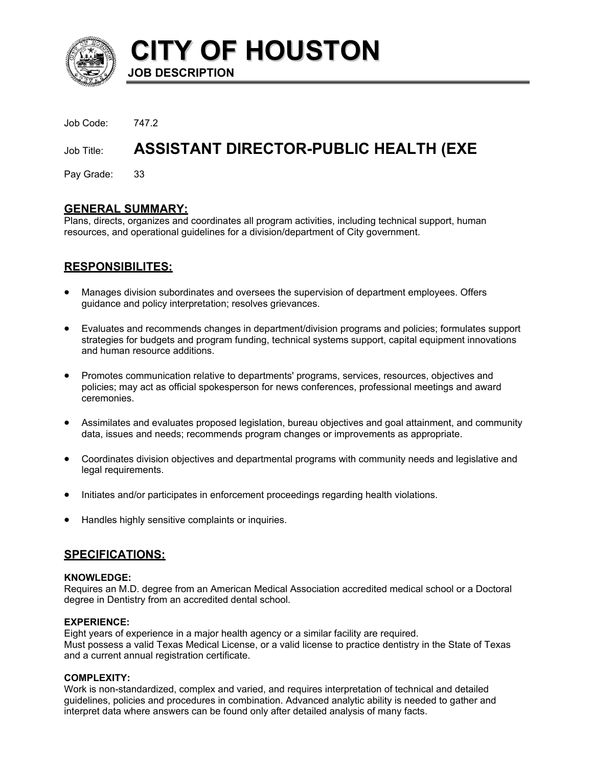

**CITY OF HOUSTON JOB DESCRIPTION** 

Job Code: 747.2

# Job Title: **ASSISTANT DIRECTOR-PUBLIC HEALTH (EXE**

Pay Grade: 33

# **GENERAL SUMMARY:**

Plans, directs, organizes and coordinates all program activities, including technical support, human resources, and operational guidelines for a division/department of City government.

# **RESPONSIBILITES:**

- Manages division subordinates and oversees the supervision of department employees. Offers guidance and policy interpretation; resolves grievances.
- Evaluates and recommends changes in department/division programs and policies; formulates support strategies for budgets and program funding, technical systems support, capital equipment innovations and human resource additions.
- Promotes communication relative to departments' programs, services, resources, objectives and policies; may act as official spokesperson for news conferences, professional meetings and award ceremonies.
- Assimilates and evaluates proposed legislation, bureau objectives and goal attainment, and community data, issues and needs; recommends program changes or improvements as appropriate.
- Coordinates division objectives and departmental programs with community needs and legislative and legal requirements.
- Initiates and/or participates in enforcement proceedings regarding health violations.
- Handles highly sensitive complaints or inquiries.

# **SPECIFICATIONS:**

#### **KNOWLEDGE:**

Requires an M.D. degree from an American Medical Association accredited medical school or a Doctoral degree in Dentistry from an accredited dental school.

## **EXPERIENCE:**

Eight years of experience in a major health agency or a similar facility are required. Must possess a valid Texas Medical License, or a valid license to practice dentistry in the State of Texas and a current annual registration certificate.

## **COMPLEXITY:**

Work is non-standardized, complex and varied, and requires interpretation of technical and detailed guidelines, policies and procedures in combination. Advanced analytic ability is needed to gather and interpret data where answers can be found only after detailed analysis of many facts.